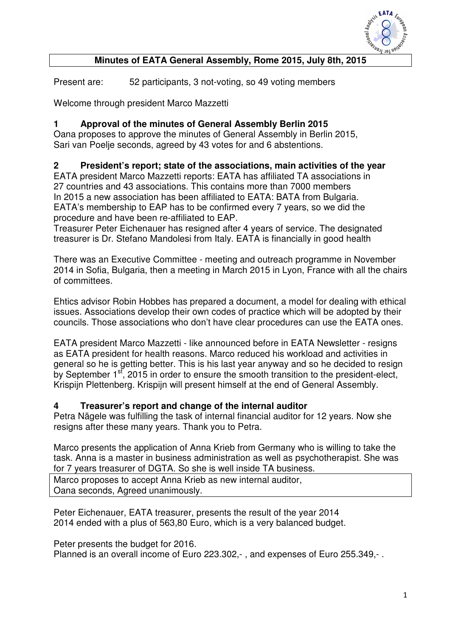

## **Minutes of EATA General Assembly, Rome 2015, July 8th, 2015**

Present are: 52 participants, 3 not-voting, so 49 voting members

Welcome through president Marco Mazzetti

#### **1 Approval of the minutes of General Assembly Berlin 2015**

Oana proposes to approve the minutes of General Assembly in Berlin 2015, Sari van Poelje seconds, agreed by 43 votes for and 6 abstentions.

### **2 President's report; state of the associations, main activities of the year**

EATA president Marco Mazzetti reports: EATA has affiliated TA associations in 27 countries and 43 associations. This contains more than 7000 members In 2015 a new association has been affiliated to EATA: BATA from Bulgaria. EATA's membership to EAP has to be confirmed every 7 years, so we did the procedure and have been re-affiliated to EAP.

Treasurer Peter Eichenauer has resigned after 4 years of service. The designated treasurer is Dr. Stefano Mandolesi from Italy. EATA is financially in good health

There was an Executive Committee - meeting and outreach programme in November 2014 in Sofia, Bulgaria, then a meeting in March 2015 in Lyon, France with all the chairs of committees.

Ehtics advisor Robin Hobbes has prepared a document, a model for dealing with ethical issues. Associations develop their own codes of practice which will be adopted by their councils. Those associations who don't have clear procedures can use the EATA ones.

EATA president Marco Mazzetti - like announced before in EATA Newsletter - resigns as EATA president for health reasons. Marco reduced his workload and activities in general so he is getting better. This is his last year anyway and so he decided to resign by September  $1<sup>st</sup>$ , 2015 in order to ensure the smooth transition to the president-elect, Krispijn Plettenberg. Krispijn will present himself at the end of General Assembly.

#### **4 Treasurer's report and change of the internal auditor**

Petra Nägele was fulfilling the task of internal financial auditor for 12 years. Now she resigns after these many years. Thank you to Petra.

Marco presents the application of Anna Krieb from Germany who is willing to take the task. Anna is a master in business administration as well as psychotherapist. She was for 7 years treasurer of DGTA. So she is well inside TA business.

Marco proposes to accept Anna Krieb as new internal auditor, Oana seconds, Agreed unanimously.

Peter Eichenauer, EATA treasurer, presents the result of the year 2014 2014 ended with a plus of 563,80 Euro, which is a very balanced budget.

Peter presents the budget for 2016.

Planned is an overall income of Euro 223.302,-, and expenses of Euro 255.349,-.